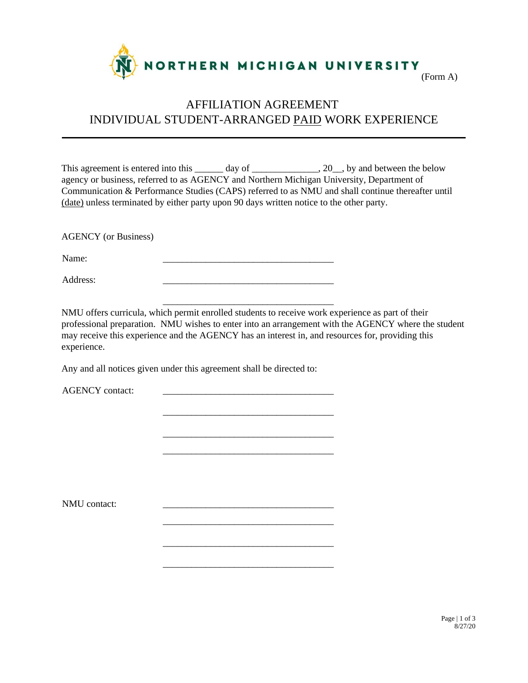

#### (Form A)

# AFFILIATION AGREEMENT INDIVIDUAL STUDENT-ARRANGED PAID WORK EXPERIENCE

This agreement is entered into this \_\_\_\_\_\_ day of \_\_\_\_\_\_\_\_\_\_\_\_, 20\_\_, by and between the below agency or business, referred to as AGENCY and Northern Michigan University, Department of Communication & Performance Studies (CAPS) referred to as NMU and shall continue thereafter until (date) unless terminated by either party upon 90 days written notice to the other party.

AGENCY (or Business)

Name: \_\_\_\_\_\_\_\_\_\_\_\_\_\_\_\_\_\_\_\_\_\_\_\_\_\_\_\_\_\_\_\_\_\_\_\_

Address:

NMU offers curricula, which permit enrolled students to receive work experience as part of their professional preparation. NMU wishes to enter into an arrangement with the AGENCY where the student may receive this experience and the AGENCY has an interest in, and resources for, providing this experience.

\_\_\_\_\_\_\_\_\_\_\_\_\_\_\_\_\_\_\_\_\_\_\_\_\_\_\_\_\_\_\_\_\_\_\_\_

\_\_\_\_\_\_\_\_\_\_\_\_\_\_\_\_\_\_\_\_\_\_\_\_\_\_\_\_\_\_\_\_\_\_\_\_

\_\_\_\_\_\_\_\_\_\_\_\_\_\_\_\_\_\_\_\_\_\_\_\_\_\_\_\_\_\_\_\_\_\_\_\_ \_\_\_\_\_\_\_\_\_\_\_\_\_\_\_\_\_\_\_\_\_\_\_\_\_\_\_\_\_\_\_\_\_\_\_\_

\_\_\_\_\_\_\_\_\_\_\_\_\_\_\_\_\_\_\_\_\_\_\_\_\_\_\_\_\_\_\_\_\_\_\_\_

\_\_\_\_\_\_\_\_\_\_\_\_\_\_\_\_\_\_\_\_\_\_\_\_\_\_\_\_\_\_\_\_\_\_\_\_

\_\_\_\_\_\_\_\_\_\_\_\_\_\_\_\_\_\_\_\_\_\_\_\_\_\_\_\_\_\_\_\_\_\_\_\_

Any and all notices given under this agreement shall be directed to:

AGENCY contact:

NMU contact: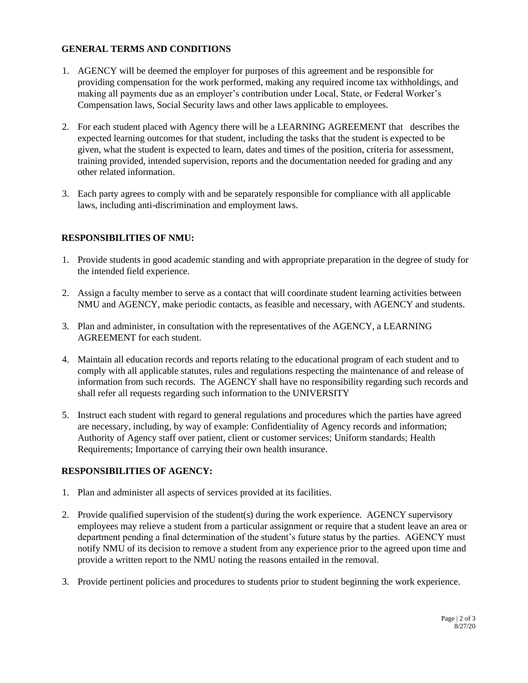# **GENERAL TERMS AND CONDITIONS**

- 1. AGENCY will be deemed the employer for purposes of this agreement and be responsible for providing compensation for the work performed, making any required income tax withholdings, and making all payments due as an employer's contribution under Local, State, or Federal Worker's Compensation laws, Social Security laws and other laws applicable to employees.
- 2. For each student placed with Agency there will be a LEARNING AGREEMENT that describes the expected learning outcomes for that student, including the tasks that the student is expected to be given, what the student is expected to learn, dates and times of the position, criteria for assessment, training provided, intended supervision, reports and the documentation needed for grading and any other related information.
- 3. Each party agrees to comply with and be separately responsible for compliance with all applicable laws, including anti-discrimination and employment laws.

# **RESPONSIBILITIES OF NMU:**

- 1. Provide students in good academic standing and with appropriate preparation in the degree of study for the intended field experience.
- 2. Assign a faculty member to serve as a contact that will coordinate student learning activities between NMU and AGENCY, make periodic contacts, as feasible and necessary, with AGENCY and students.
- 3. Plan and administer, in consultation with the representatives of the AGENCY, a LEARNING AGREEMENT for each student.
- 4. Maintain all education records and reports relating to the educational program of each student and to comply with all applicable statutes, rules and regulations respecting the maintenance of and release of information from such records. The AGENCY shall have no responsibility regarding such records and shall refer all requests regarding such information to the UNIVERSITY
- 5. Instruct each student with regard to general regulations and procedures which the parties have agreed are necessary, including, by way of example: Confidentiality of Agency records and information; Authority of Agency staff over patient, client or customer services; Uniform standards; Health Requirements; Importance of carrying their own health insurance.

### **RESPONSIBILITIES OF AGENCY:**

- 1. Plan and administer all aspects of services provided at its facilities.
- 2. Provide qualified supervision of the student(s) during the work experience. AGENCY supervisory employees may relieve a student from a particular assignment or require that a student leave an area or department pending a final determination of the student's future status by the parties. AGENCY must notify NMU of its decision to remove a student from any experience prior to the agreed upon time and provide a written report to the NMU noting the reasons entailed in the removal.
- 3. Provide pertinent policies and procedures to students prior to student beginning the work experience.